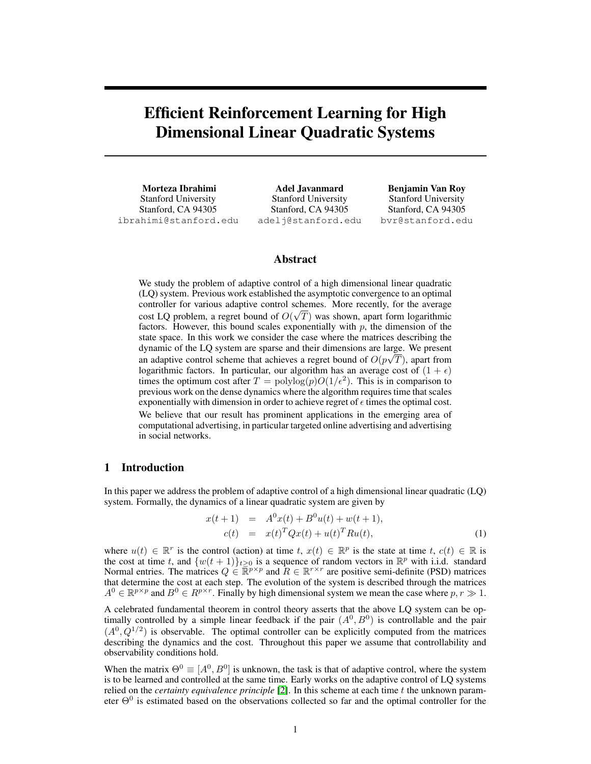# Efficient Reinforcement Learning for High Dimensional Linear Quadratic Systems

Morteza Ibrahimi Stanford University Stanford, CA 94305 ibrahimi@stanford.edu

Adel Javanmard Stanford University Stanford, CA 94305 adelj@stanford.edu

Benjamin Van Roy Stanford University Stanford, CA 94305 bvr@stanford.edu

# Abstract

We study the problem of adaptive control of a high dimensional linear quadratic (LQ) system. Previous work established the asymptotic convergence to an optimal controller for various adaptive control schemes. More recently, for the average cost LQ problem, a regret bound of  $O(\sqrt{T})$  was shown, apart form logarithmic factors. However, this bound scales exponentially with  $p$ , the dimension of the state space. In this work we consider the case where the matrices describing the dynamic of the LQ system are sparse and their dimensions are large. We present an adaptive control scheme that achieves a regret bound of  $O(p\sqrt{T})$ , apart from logarithmic factors. In particular, our algorithm has an average cost of  $(1 + \epsilon)$ times the optimum cost after  $T = \text{polylog}(p)O(1/\epsilon^2)$ . This is in comparison to previous work on the dense dynamics where the algorithm requires time that scales exponentially with dimension in order to achieve regret of  $\epsilon$  times the optimal cost. We believe that our result has prominent applications in the emerging area of computational advertising, in particular targeted online advertising and advertising in social networks.

## 1 Introduction

In this paper we address the problem of adaptive control of a high dimensional linear quadratic (LQ) system. Formally, the dynamics of a linear quadratic system are given by

<span id="page-0-0"></span>
$$
x(t+1) = A0x(t) + B0u(t) + w(t+1),
$$
  
\n
$$
c(t) = x(t)TQx(t) + u(t)TRu(t),
$$
\n(1)

where  $u(t) \in \mathbb{R}^r$  is the control (action) at time t,  $x(t) \in \mathbb{R}^p$  is the state at time t,  $c(t) \in \mathbb{R}$  is the cost at time t, and  $\{w(t + 1)\}_{t \geq 0}$  is a sequence of random vectors in  $\mathbb{R}^p$  with i.i.d. standard Normal entries. The matrices  $Q \in \overline{\mathbb{R}}^{p \times p}$  and  $R \in \mathbb{R}^{r \times r}$  are positive semi-definite (PSD) matrices that determine the cost at each step. The evolution of the system is described through the matrices  $A^0 \in \mathbb{R}^{p \times p}$  and  $B^0 \in R^{p \times r}$ . Finally by high dimensional system we mean the case where  $p, r \gg 1$ .

A celebrated fundamental theorem in control theory asserts that the above LQ system can be optimally controlled by a simple linear feedback if the pair  $(A^0, B^0)$  is controllable and the pair  $(A^0, Q^{1/2})$  is observable. The optimal controller can be explicitly computed from the matrices describing the dynamics and the cost. Throughout this paper we assume that controllability and observability conditions hold.

When the matrix  $\Theta^0 \equiv [A^0, B^0]$  is unknown, the task is that of adaptive control, where the system is to be learned and controlled at the same time. Early works on the adaptive control of LQ systems relied on the *certainty equivalence principle* [\[2\]](#page-8-0). In this scheme at each time t the unknown parameter  $\Theta^0$  is estimated based on the observations collected so far and the optimal controller for the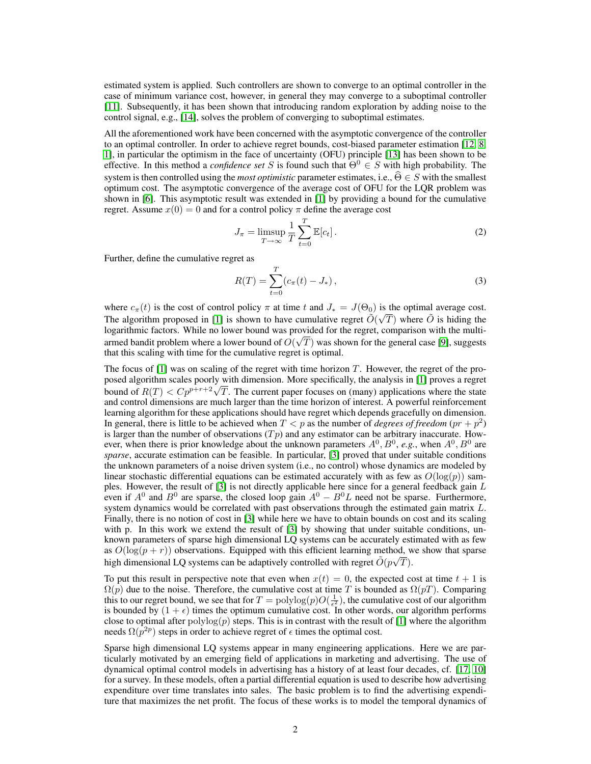estimated system is applied. Such controllers are shown to converge to an optimal controller in the case of minimum variance cost, however, in general they may converge to a suboptimal controller [\[11\]](#page-8-1). Subsequently, it has been shown that introducing random exploration by adding noise to the control signal, e.g., [\[14\]](#page-8-2), solves the problem of converging to suboptimal estimates.

All the aforementioned work have been concerned with the asymptotic convergence of the controller to an optimal controller. In order to achieve regret bounds, cost-biased parameter estimation [\[12,](#page-8-3) [8,](#page-8-4) [1\]](#page-8-5), in particular the optimism in the face of uncertainty (OFU) principle [\[13\]](#page-8-6) has been shown to be effective. In this method a *confidence set* S is found such that  $\Theta^0 \in S$  with high probability. The system is then controlled using the *most optimistic* parameter estimates, i.e.,  $\hat{\Theta} \in S$  with the smallest optimum cost. The asymptotic convergence of the average cost of OFU for the LQR problem was shown in [\[6\]](#page-8-7). This asymptotic result was extended in [\[1\]](#page-8-5) by providing a bound for the cumulative regret. Assume  $x(0) = 0$  and for a control policy  $\pi$  define the average cost

$$
J_{\pi} = \limsup_{T \to \infty} \frac{1}{T} \sum_{t=0}^{T} \mathbb{E}[c_t].
$$
 (2)

Further, define the cumulative regret as

$$
R(T) = \sum_{t=0}^{T} (c_{\pi}(t) - J_*) ,
$$
 (3)

where  $c_{\pi}(t)$  is the cost of control policy  $\pi$  at time t and  $J_* = J(\Theta_0)$  is the optimal average cost. The algorithm proposed in [\[1\]](#page-8-5) is shown to have cumulative regret  $\tilde{O}(\sqrt{T})$  where  $\tilde{O}$  is hiding the logarithmic factors. While no lower bound was provided for the regret, comparison with the multiarmed bandit problem where a lower bound of  $O(\sqrt{T})$  was shown for the general case [\[9\]](#page-8-8), suggests that this scaling with time for the cumulative regret is optimal.

The focus of  $[1]$  was on scaling of the regret with time horizon T. However, the regret of the proposed algorithm scales poorly with dimension. More specifically, the analysis in [\[1\]](#page-8-5) proves a regret bosed algorithm scales poorly with dimension. More specifically, the analysis in [1] proves a regret bound of  $R(T) < C p^{p+r+2} \sqrt{T}$ . The current paper focuses on (many) applications where the state and control dimensions are much larger than the time horizon of interest. A powerful reinforcement learning algorithm for these applications should have regret which depends gracefully on dimension. In general, there is little to be achieved when  $T < p$  as the number of *degrees of freedom*  $(pr + p<sup>2</sup>)$ is larger than the number of observations  $(Tp)$  and any estimator can be arbitrary inaccurate. However, when there is prior knowledge about the unknown parameters  $A^0$ ,  $B^0$ , e.g., when  $A^0$ ,  $B^0$  are *sparse*, accurate estimation can be feasible. In particular, [\[3\]](#page-8-9) proved that under suitable conditions the unknown parameters of a noise driven system (i.e., no control) whose dynamics are modeled by linear stochastic differential equations can be estimated accurately with as few as  $O(\log(p))$  samples. However, the result of [\[3\]](#page-8-9) is not directly applicable here since for a general feedback gain L even if  $A^0$  and  $B^0$  are sparse, the closed loop gain  $A^0 - B^0L$  need not be sparse. Furthermore, system dynamics would be correlated with past observations through the estimated gain matrix L. Finally, there is no notion of cost in [\[3\]](#page-8-9) while here we have to obtain bounds on cost and its scaling with p. In this work we extend the result of [\[3\]](#page-8-9) by showing that under suitable conditions, unknown parameters of sparse high dimensional LQ systems can be accurately estimated with as few as  $O(\log(p + r))$  observations. Equipped with this efficient learning method, we show that sparse high dimensional LQ systems can be adaptively controlled with regret  $\tilde{O}(p\sqrt{T})$ .

To put this result in perspective note that even when  $x(t) = 0$ , the expected cost at time  $t + 1$  is  $\Omega(p)$  due to the noise. Therefore, the cumulative cost at time T is bounded as  $\Omega(pT)$ . Comparing this to our regret bound, we see that for  $T = \text{polylog}(p)O(\frac{1}{\epsilon^2})$ , the cumulative cost of our algorithm is bounded by  $(1 + \epsilon)$  times the optimum cumulative cost. In other words, our algorithm performs close to optimal after  $\text{polylog}(p)$  steps. This is in contrast with the result of [\[1\]](#page-8-5) where the algorithm needs  $\Omega(p^{2p})$  steps in order to achieve regret of  $\epsilon$  times the optimal cost.

Sparse high dimensional LQ systems appear in many engineering applications. Here we are particularly motivated by an emerging field of applications in marketing and advertising. The use of dynamical optimal control models in advertising has a history of at least four decades, cf. [\[17,](#page-8-10) [10\]](#page-8-11) for a survey. In these models, often a partial differential equation is used to describe how advertising expenditure over time translates into sales. The basic problem is to find the advertising expenditure that maximizes the net profit. The focus of these works is to model the temporal dynamics of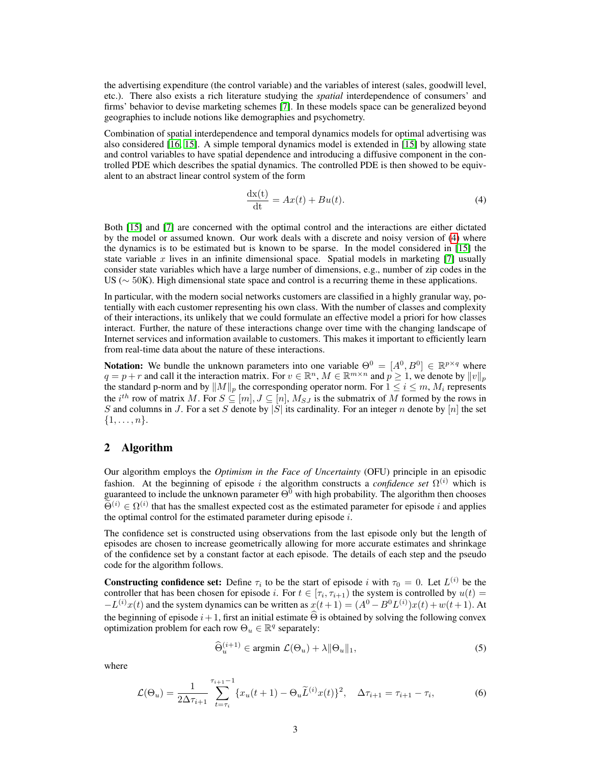the advertising expenditure (the control variable) and the variables of interest (sales, goodwill level, etc.). There also exists a rich literature studying the *spatial* interdependence of consumers' and firms' behavior to devise marketing schemes [\[7\]](#page-8-12). In these models space can be generalized beyond geographies to include notions like demographies and psychometry.

Combination of spatial interdependence and temporal dynamics models for optimal advertising was also considered [\[16,](#page-8-13) [15\]](#page-8-14). A simple temporal dynamics model is extended in [\[15\]](#page-8-14) by allowing state and control variables to have spatial dependence and introducing a diffusive component in the controlled PDE which describes the spatial dynamics. The controlled PDE is then showed to be equivalent to an abstract linear control system of the form

<span id="page-2-0"></span>
$$
\frac{dx(t)}{dt} = Ax(t) + Bu(t).
$$
\n(4)

Both [\[15\]](#page-8-14) and [\[7\]](#page-8-12) are concerned with the optimal control and the interactions are either dictated by the model or assumed known. Our work deals with a discrete and noisy version of [\(4\)](#page-2-0) where the dynamics is to be estimated but is known to be sparse. In the model considered in [\[15\]](#page-8-14) the state variable x lives in an infinite dimensional space. Spatial models in marketing [\[7\]](#page-8-12) usually consider state variables which have a large number of dimensions, e.g., number of zip codes in the US ( $\sim$  50K). High dimensional state space and control is a recurring theme in these applications.

In particular, with the modern social networks customers are classified in a highly granular way, potentially with each customer representing his own class. With the number of classes and complexity of their interactions, its unlikely that we could formulate an effective model a priori for how classes interact. Further, the nature of these interactions change over time with the changing landscape of Internet services and information available to customers. This makes it important to efficiently learn from real-time data about the nature of these interactions.

**Notation:** We bundle the unknown parameters into one variable  $\Theta^0 = [A^0, B^0] \in \mathbb{R}^{p \times q}$  where  $q = p + r$  and call it the interaction matrix. For  $v \in \mathbb{R}^n$ ,  $M \in \mathbb{R}^{m \times n}$  and  $p \geq 1$ , we denote by  $||v||_p$ the standard p-norm and by  $||M||_p$  the corresponding operator norm. For  $1 \le i \le m$ ,  $M_i$  represents the  $i^{th}$  row of matrix M. For  $S \subseteq [m], J \subseteq [n]$ ,  $M_{SJ}$  is the submatrix of M formed by the rows in S and columns in J. For a set S denote by |S| its cardinality. For an integer n denote by |n| the set  $\{1, \ldots, n\}.$ 

## 2 Algorithm

Our algorithm employs the *Optimism in the Face of Uncertainty* (OFU) principle in an episodic fashion. At the beginning of episode i the algorithm constructs a *confidence set*  $\Omega^{(i)}$  which is guaranteed to include the unknown parameter  $\Theta^0$  with high probability. The algorithm then chooses  $\widetilde{\Theta}^{(i)} \in \Omega^{(i)}$  that has the smallest expected cost as the estimated parameter for episode i and applies the optimal control for the estimated parameter during episode  $i$ .

The confidence set is constructed using observations from the last episode only but the length of episodes are chosen to increase geometrically allowing for more accurate estimates and shrinkage of the confidence set by a constant factor at each episode. The details of each step and the pseudo code for the algorithm follows.

**Constructing confidence set:** Define  $\tau_i$  to be the start of episode i with  $\tau_0 = 0$ . Let  $L^{(i)}$  be the controller that has been chosen for episode *i*. For  $t \in [\tau_i, \tau_{i+1})$  the system is controlled by  $u(t) =$  $-L^{(i)}x(t)$  and the system dynamics can be written as  $x(t+1) = (A^0 - B^0 L^{(i)})x(t) + w(t+1)$ . At the beginning of episode  $i+1$ , first an initial estimate  $\Theta$  is obtained by solving the following convex optimization problem for each row  $\Theta_u \in \mathbb{R}^q$  separately:

<span id="page-2-1"></span>
$$
\widehat{\Theta}_u^{(i+1)} \in \text{argmin } \mathcal{L}(\Theta_u) + \lambda \|\Theta_u\|_1,\tag{5}
$$

where

<span id="page-2-2"></span>
$$
\mathcal{L}(\Theta_u) = \frac{1}{2\Delta \tau_{i+1}} \sum_{t=\tau_i}^{\tau_{i+1}-1} \{x_u(t+1) - \Theta_u \widetilde{L}^{(i)} x(t)\}^2, \quad \Delta \tau_{i+1} = \tau_{i+1} - \tau_i,
$$
\n(6)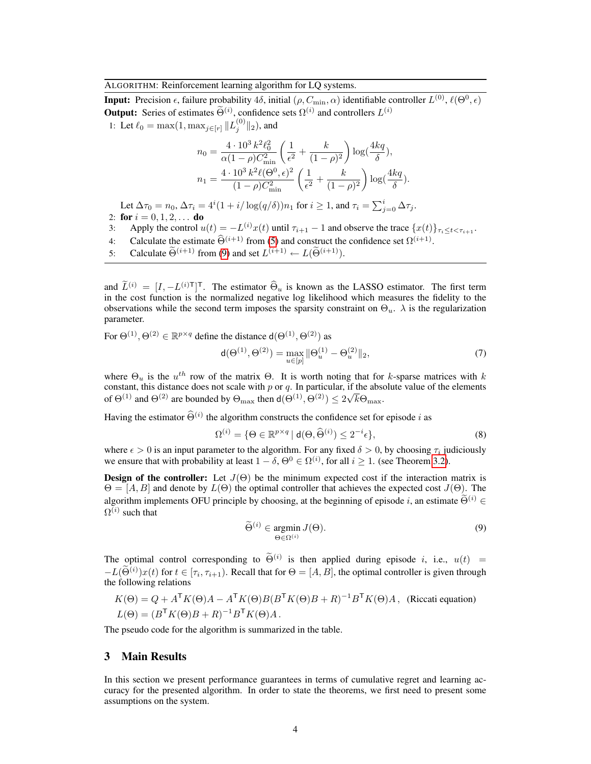ALGORITHM: Reinforcement learning algorithm for LQ systems.

**Input:** Precision  $\epsilon$ , failure probability  $4\delta$ , initial  $(\rho, C_{\min}, \alpha)$  identifiable controller  $L^{(0)}$ ,  $\ell(\Theta^0, \epsilon)$ **Output:** Series of estimates  $\Theta^{(i)}$ , confidence sets  $\Omega^{(i)}$  and controllers  $L^{(i)}$ 

1: Let  $\ell_0 = \max(1, \max_{j \in [r]} \|L_j^{(0)}\|_2)$ , and

$$
n_0 = \frac{4 \cdot 10^3 \, k^2 \ell_0^2}{\alpha (1 - \rho) C_{\text{min}}^2} \left( \frac{1}{\epsilon^2} + \frac{k}{(1 - \rho)^2} \right) \log(\frac{4kq}{\delta}),
$$
  

$$
n_1 = \frac{4 \cdot 10^3 \, k^2 \ell (\Theta^0, \epsilon)^2}{(1 - \rho) C_{\text{min}}^2} \left( \frac{1}{\epsilon^2} + \frac{k}{(1 - \rho)^2} \right) \log(\frac{4kq}{\delta}).
$$

Let  $\Delta \tau_0 = n_0$ ,  $\Delta \tau_i = 4^i (1 + i/\log(q/\delta)) n_1$  for  $i \ge 1$ , and  $\tau_i = \sum_{j=0}^i \Delta \tau_j$ . 2: for  $i = 0, 1, 2, \ldots$  do

- 3: Apply the control  $u(t) = -L^{(i)}x(t)$  until  $\tau_{i+1} 1$  and observe the trace  $\{x(t)\}_{\tau_i \le t < \tau_{i+1}}$ .
- 4: Calculate the estimate  $\widehat{\Theta}^{(i+1)}$  from [\(5\)](#page-2-1) and construct the confidence set  $\Omega^{(i+1)}$ .
- 5: Calculate  $\widetilde{\Theta}^{(i+1)}$  from [\(9\)](#page-3-0) and set  $L^{(i+1)} \leftarrow L(\widetilde{\Theta}^{(i+1)})$ .

and  $\tilde{L}^{(i)} = [I, -L^{(i)}]^\mathsf{T}$ . The estimator  $\hat{\Theta}_u$  is known as the LASSO estimator. The first term in the cost function is the normalized negative log likelihood which measures the fidelity to the observations while the second term imposes the sparsity constraint on  $\Theta_u$ .  $\lambda$  is the regularization parameter.

For  $\Theta^{(1)}$ ,  $\Theta^{(2)} \in \mathbb{R}^{p \times q}$  define the distance  $d(\Theta^{(1)}, \Theta^{(2)})$  as

$$
\mathsf{d}(\Theta^{(1)}, \Theta^{(2)}) = \max_{u \in [p]} \|\Theta_u^{(1)} - \Theta_u^{(2)}\|_2,\tag{7}
$$

where  $\Theta_u$  is the  $u^{th}$  row of the matrix  $\Theta$ . It is worth noting that for k-sparse matrices with k constant, this distance does not scale with p or q. In particular, if the absolute value of the elements of  $\Theta^{(1)}$  and  $\Theta^{(2)}$  are bounded by  $\Theta_{\text{max}}$  then  $d(\Theta^{(1)}, \Theta^{(2)}) \leq 2\sqrt{k}\Theta_{\text{max}}$ .

Having the estimator  $\widehat{\Theta}^{(i)}$  the algorithm constructs the confidence set for episode i as

$$
\Omega^{(i)} = \{ \Theta \in \mathbb{R}^{p \times q} \mid \mathsf{d}(\Theta, \widehat{\Theta}^{(i)}) \le 2^{-i} \epsilon \},\tag{8}
$$

where  $\epsilon > 0$  is an input parameter to the algorithm. For any fixed  $\delta > 0$ , by choosing  $\tau_i$  judiciously we ensure that with probability at least  $1 - \delta$ ,  $\Theta^0 \in \Omega^{(i)}$ , for all  $i \ge 1$ . (see Theorem [3.2\)](#page-4-0).

**Design of the controller:** Let  $J(\Theta)$  be the minimum expected cost if the interaction matrix is  $\Theta = [A, B]$  and denote by  $L(\Theta)$  the optimal controller that achieves the expected cost  $J(\Theta)$ . The algorithm implements OFU principle by choosing, at the beginning of episode i, an estimate  $\widetilde{\Theta}^{(i)} \in$  $\Omega^{(i)}$  such that

<span id="page-3-0"></span>
$$
\widetilde{\Theta}^{(i)} \in \underset{\Theta \in \Omega^{(i)}}{\operatorname{argmin}} J(\Theta). \tag{9}
$$

The optimal control corresponding to  $\tilde{\Theta}^{(i)}$  is then applied during episode i, i.e.,  $u(t) = \tilde{\Theta}^{(i)}$  $-L(\tilde{\Theta}^{(i)})x(t)$  for  $t \in [\tau_i, \tau_{i+1})$ . Recall that for  $\Theta = [A, B]$ , the optimal controller is given through the following relations

$$
K(\Theta) = Q + A^{\mathsf{T}} K(\Theta) A - A^{\mathsf{T}} K(\Theta) B (B^{\mathsf{T}} K(\Theta) B + R)^{-1} B^{\mathsf{T}} K(\Theta) A, \text{ (Riccati equation)}
$$
  
\n
$$
L(\Theta) = (B^{\mathsf{T}} K(\Theta) B + R)^{-1} B^{\mathsf{T}} K(\Theta) A.
$$

The pseudo code for the algorithm is summarized in the table.

## 3 Main Results

In this section we present performance guarantees in terms of cumulative regret and learning accuracy for the presented algorithm. In order to state the theorems, we first need to present some assumptions on the system.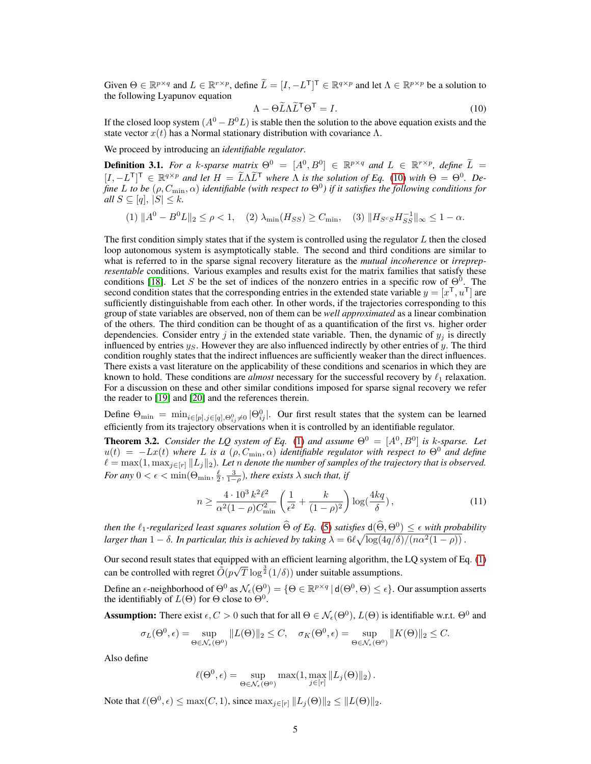Given  $\Theta \in \mathbb{R}^{p \times q}$  and  $L \in \mathbb{R}^{r \times p}$ , define  $\widetilde{L} = [I, -L^{\mathsf{T}}]^{\mathsf{T}} \in \mathbb{R}^{q \times p}$  and let  $\Lambda \in \mathbb{R}^{p \times p}$  be a solution to the following Lyapunov equation

<span id="page-4-1"></span>
$$
\Lambda - \Theta \widetilde{L} \Lambda \widetilde{L}^{\mathsf{T}} \Theta^{\mathsf{T}} = I. \tag{10}
$$

If the closed loop system  $(A^0 - B^0L)$  is stable then the solution to the above equation exists and the state vector  $x(t)$  has a Normal stationary distribution with covariance Λ.

We proceed by introducing an *identifiable regulator*.

<span id="page-4-2"></span>**Definition 3.1.** *For a k*-sparse matrix  $\Theta^0 = [A^0, B^0] \in \mathbb{R}^{p \times q}$  and  $L \in \mathbb{R}^{r \times p}$ , define  $\widetilde{L} =$  $[I, -L^T]^T \in \mathbb{R}^{q \times p}$  *and let*  $H = \tilde{L} \Lambda \tilde{L}^T$  *where*  $\Lambda$  *is the solution of Eq.* [\(10\)](#page-4-1) *with*  $\Theta = \Theta^0$ . De*fine* L to be  $(\rho, C_{\min}, \alpha)$  identifiable (with respect to  $\Theta^0$ ) if it satisfies the following conditions for *all*  $S \subseteq [q], |S| \leq k$ *.* 

(1)  $||A^0 - B^0 L||_2 \le \rho < 1$ , (2)  $\lambda_{\min}(H_{SS}) \ge C_{\min}$ , (3)  $||H_{S^cS}H_{SS}^{-1}||_{\infty} \le 1 - \alpha$ .

The first condition simply states that if the system is controlled using the regulator  $L$  then the closed loop autonomous system is asymptotically stable. The second and third conditions are similar to what is referred to in the sparse signal recovery literature as the *mutual incoherence* or *irreprepresentable* conditions. Various examples and results exist for the matrix families that satisfy these conditions [\[18\]](#page-8-15). Let S be the set of indices of the nonzero entries in a specific row of  $\Theta^0$ . The second condition states that the corresponding entries in the extended state variable  $y = [x^{\mathsf{T}}, u^{\mathsf{T}}]$  are sufficiently distinguishable from each other. In other words, if the trajectories corresponding to this group of state variables are observed, non of them can be *well approximated* as a linear combination of the others. The third condition can be thought of as a quantification of the first vs. higher order dependencies. Consider entry j in the extended state variable. Then, the dynamic of  $y_i$  is directly influenced by entries  $y_S$ . However they are also influenced indirectly by other entries of y. The third condition roughly states that the indirect influences are sufficiently weaker than the direct influences. There exists a vast literature on the applicability of these conditions and scenarios in which they are known to hold. These conditions are *almost* necessary for the successful recovery by  $\ell_1$  relaxation. For a discussion on these and other similar conditions imposed for sparse signal recovery we refer the reader to [\[19\]](#page-8-16) and [\[20\]](#page-8-17) and the references therein.

Define  $\Theta_{\min} = \min_{i \in [p], j \in [q], \Theta_{ij}^0 \neq 0} |\Theta_{ij}^0|$ . Our first result states that the system can be learned efficiently from its trajectory observations when it is controlled by an identifiable regulator.

<span id="page-4-0"></span>**Theorem 3.2.** *Consider the LQ system of Eq.* [\(1\)](#page-0-0) and assume  $\Theta^0 = [A^0, B^0]$  is k-sparse. Let  $u(t) = -Lx(t)$  *where* L is a  $(\rho, C_{\min}, \alpha)$  *identifiable regulator with respect to*  $\Theta^0$  *and define*  $\ell = \max(1, \max_{j \in [r]} ||L_j||_2)$ . Let *n* denote the number of samples of the trajectory that is observed. *For any*  $0 < \epsilon < \min(\Theta_{\min}, \frac{\ell}{2}, \frac{3}{1-\rho})$ *, there exists*  $\lambda$  *such that, if* 

$$
n \ge \frac{4 \cdot 10^3 \, k^2 \ell^2}{\alpha^2 (1 - \rho) C_{\min}^2} \left( \frac{1}{\epsilon^2} + \frac{k}{(1 - \rho)^2} \right) \log(\frac{4kq}{\delta}),\tag{11}
$$

*then the*  $\ell_1$ -regularized least squares solution  $\widehat{\Theta}$  of Eq. [\(5\)](#page-2-1) satisfies  $d(\widehat{\Theta}, \Theta^0) \leq \epsilon$  with probability larger than  $1 - \delta$ . In particular, this is achieved by taking  $\lambda = 6\ell\sqrt{\log(4q/\delta)/(n\alpha^2(1-\rho))}$  .

Our second result states that equipped with an efficient learning algorithm, the LQ system of Eq. [\(1\)](#page-0-0) Four second result states that equipped<br>can be controlled with regret  $\tilde{O}(p\sqrt{p})$  $\overline{T} \log^{\frac{3}{2}}(1/\delta)$  under suitable assumptions.

Define an  $\epsilon$ -neighborhood of  $\Theta^0$  as  $\mathcal{N}_{\epsilon}(\Theta^0) = \{ \Theta \in \mathbb{R}^{p \times q} \mid d(\Theta^0, \Theta) \leq \epsilon \}.$  Our assumption asserts the identifiably of  $L(\Theta)$  for  $\Theta$  close to  $\Theta^0$ .

**Assumption:** There exist  $\epsilon, C > 0$  such that for all  $\Theta \in \mathcal{N}_{\epsilon}(\Theta^0), L(\Theta)$  is identifiable w.r.t.  $\Theta^0$  and

$$
\sigma_L(\Theta^0, \epsilon) = \sup_{\Theta \in \mathcal{N}_{\epsilon}(\Theta^0)} \|L(\Theta)\|_2 \le C, \quad \sigma_K(\Theta^0, \epsilon) = \sup_{\Theta \in \mathcal{N}_{\epsilon}(\Theta^0)} \|K(\Theta)\|_2 \le C.
$$

Also define

$$
\ell(\Theta^0, \epsilon) = \sup_{\Theta \in \mathcal{N}_{\epsilon}(\Theta^0)} \max(1, \max_{j \in [r]} \|L_j(\Theta)\|_2).
$$

<span id="page-4-3"></span>Note that  $\ell(\Theta^0, \epsilon) \le \max(C, 1)$ , since  $\max_{j \in [r]} ||L_j(\Theta)||_2 \le ||L(\Theta)||_2$ .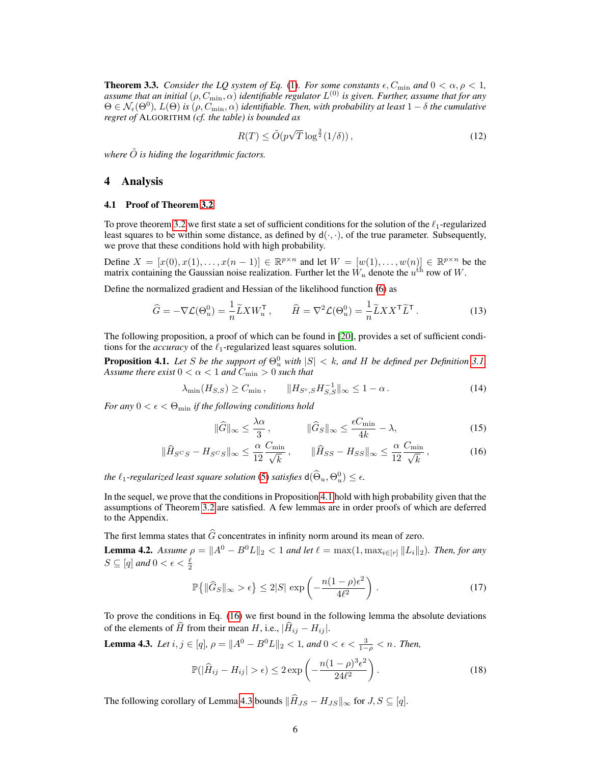**Theorem 3.3.** *Consider the LQ system of Eq.* [\(1\)](#page-0-0)*. For some constants*  $\epsilon$ ,  $C_{\min}$  and  $0 < \alpha$ ,  $\rho < 1$ , assume that an initial  $(\rho, C_{\rm min}, \alpha)$  identifiable regulator  $L^{(0)}$  is given. Further, assume that for any  $\Theta \in \mathcal{N}_{\epsilon}(\Theta^0)$ ,  $L(\Theta)$  *is*  $(\rho, C_{\min}, \alpha)$  *identifiable. Then, with probability at least*  $1-\delta$  *the cumulative regret of* ALGORITHM *(cf. the table) is bounded as*

$$
R(T) \le \tilde{O}(p\sqrt{T}\log^{\frac{3}{2}}(1/\delta)),\tag{12}
$$

*where*  $\tilde{O}$  *is hiding the logarithmic factors.* 

## 4 Analysis

#### 4.1 Proof of Theorem [3.2](#page-4-0)

To prove theorem [3.2](#page-4-0) we first state a set of sufficient conditions for the solution of the  $\ell_1$ -regularized least squares to be within some distance, as defined by  $d(\cdot, \cdot)$ , of the true parameter. Subsequently, we prove that these conditions hold with high probability.

Define  $X = [x(0), x(1), \dots, x(n-1)] \in \mathbb{R}^{p \times n}$  and let  $W = [w(1), \dots, w(n)] \in \mathbb{R}^{p \times n}$  be the matrix containing the Gaussian noise realization. Further let the  $\dot{W}_u$  denote the  $u^{\rm th}$  row of  $W$ .

Define the normalized gradient and Hessian of the likelihood function [\(6\)](#page-2-2) as

$$
\widehat{G} = -\nabla \mathcal{L}(\Theta_u^0) = \frac{1}{n} \widetilde{L} X W_u^{\mathsf{T}} , \qquad \widehat{H} = \nabla^2 \mathcal{L}(\Theta_u^0) = \frac{1}{n} \widetilde{L} X X^{\mathsf{T}} \widetilde{L}^{\mathsf{T}} .
$$
\n(13)

The following proposition, a proof of which can be found in [\[20\]](#page-8-17), provides a set of sufficient conditions for the *accuracy* of the  $\ell_1$ -regularized least squares solution.

<span id="page-5-0"></span>**Proposition 4.1.** Let S be the support of  $\Theta_u^0$  with  $|S| < k$ , and H be defined per Definition [3.1.](#page-4-2) *Assume there exist*  $0 < \alpha < 1$  *and*  $C_{\min} > 0$  *such that* 

<span id="page-5-4"></span>
$$
\lambda_{\min}(H_{S,S}) \ge C_{\min}, \qquad \|H_{S^c,S} H_{S,S}^{-1}\|_{\infty} \le 1 - \alpha. \tag{14}
$$

*For any*  $0 < \epsilon < \Theta_{\min}$  *if the following conditions hold* 

<span id="page-5-1"></span>
$$
\|\widehat{G}\|_{\infty} \le \frac{\lambda \alpha}{3}, \qquad \|\widehat{G}_S\|_{\infty} \le \frac{\epsilon C_{\min}}{4k} - \lambda,
$$
\n(15)

$$
\|\widehat{H}_{S^CS} - H_{S^CS}\|_{\infty} \le \frac{\alpha}{12} \frac{C_{\min}}{\sqrt{k}}, \qquad \|\widehat{H}_{SS} - H_{SS}\|_{\infty} \le \frac{\alpha}{12} \frac{C_{\min}}{\sqrt{k}}, \tag{16}
$$

*the*  $\ell_1$ -regularized least square solution [\(5\)](#page-2-1) satisfies  $d(\widehat{\Theta}_u, \Theta_u^0) \leq \epsilon$ .

In the sequel, we prove that the conditions in Proposition [4.1](#page-5-0) hold with high probability given that the assumptions of Theorem [3.2](#page-4-0) are satisfied. A few lemmas are in order proofs of which are deferred to the Appendix.

The first lemma states that  $\widehat{G}$  concentrates in infinity norm around its mean of zero.

<span id="page-5-5"></span>**Lemma 4.2.** *Assume*  $\rho = ||A^0 - B^0 L||_2 < 1$  *and let*  $\ell = \max(1, \max_{i \in [r]} ||L_i||_2)$ *. Then, for any*  $S \subseteq [q]$  and  $0 < \epsilon < \frac{\ell}{2}$ 

$$
\mathbb{P}\left\{ \|\widehat{G}_S\|_{\infty} > \epsilon \right\} \le 2|S| \, \exp\left(-\frac{n(1-\rho)\epsilon^2}{4\ell^2}\right) \,. \tag{17}
$$

To prove the conditions in Eq. [\(16\)](#page-5-1) we first bound in the following lemma the absolute deviations of the elements of  $\hat{H}$  from their mean H, i.e.,  $|\hat{H}_{ij} - H_{ij}|$ .

<span id="page-5-2"></span>**Lemma 4.3.** *Let*  $i, j \in [q]$ ,  $\rho = ||A^0 - B^0 L||_2 < 1$ , and  $0 < \epsilon < \frac{3}{1-\rho} < n$ . Then,

$$
\mathbb{P}(|\widehat{H}_{ij} - H_{ij}| > \epsilon) \le 2 \exp\left(-\frac{n(1-\rho)^3 \epsilon^2}{24\ell^2}\right).
$$
 (18)

<span id="page-5-3"></span>The following corollary of Lemma [4.3](#page-5-2) bounds  $\|\widehat{H}_{JS} - H_{JS}\|_{\infty}$  for  $J, S \subseteq [q]$ .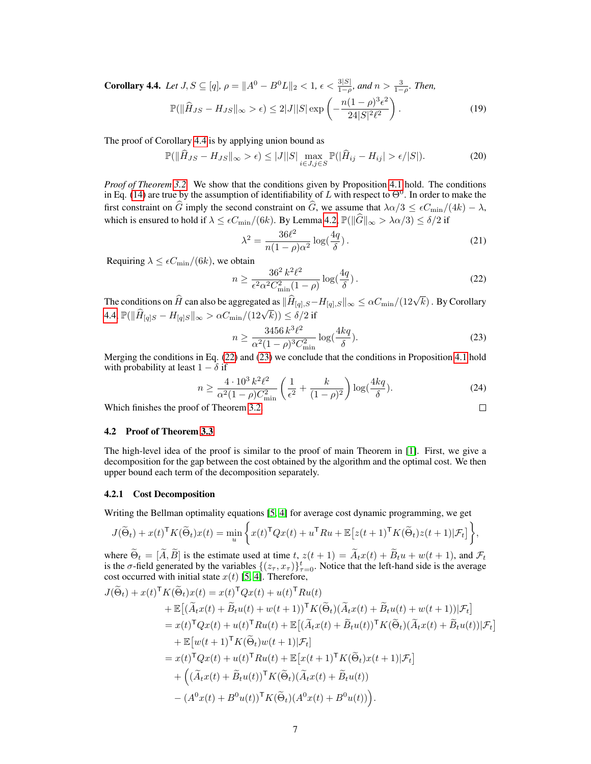**Corollary 4.4.** Let  $J, S \subseteq [q], \rho = ||A^0 - B^0 L||_2 < 1, \epsilon < \frac{3|S|}{1-\rho}$ , and  $n > \frac{3}{1-\rho}$ . Then,

$$
\mathbb{P}(\|\widehat{H}_{JS} - H_{JS}\|_{\infty} > \epsilon) \le 2|J||S| \exp\left(-\frac{n(1-\rho)^3 \epsilon^2}{24|S|^2 \ell^2}\right). \tag{19}
$$

The proof of Corollary [4.4](#page-5-3) is by applying union bound as

$$
\mathbb{P}(\|\widehat{H}_{JS} - H_{JS}\|_{\infty} > \epsilon) \le |J||S| \max_{i \in J, j \in S} \mathbb{P}(|\widehat{H}_{ij} - H_{ij}| > \epsilon/|S|). \tag{20}
$$

*Proof of Theorem [3.2.](#page-4-0)* We show that the conditions given by Proposition [4.1](#page-5-0) hold. The conditions in Eq. [\(14\)](#page-5-4) are true by the assumption of identifiability of L with respect to  $\Theta^0$ . In order to make the first constraint on  $\widehat{G}$  imply the second constraint on  $\widehat{G}$ , we assume that  $\lambda \alpha/3 \leq \epsilon C_{\min}/(4k) - \lambda$ , which is ensured to hold if  $\lambda \le \epsilon C_{\min}/(6k)$ . By Lemma [4.2,](#page-5-5)  $\mathbb{P}(\|\widehat{G}\|_{\infty} > \lambda \alpha/3) \le \delta/2$  if

$$
\lambda^2 = \frac{36\ell^2}{n(1-\rho)\alpha^2} \log(\frac{4q}{\delta}).
$$
\n(21)

Requiring  $\lambda \leq \epsilon C_{\min}/(6k)$ , we obtain

<span id="page-6-0"></span>
$$
n \ge \frac{36^2 k^2 \ell^2}{\epsilon^2 \alpha^2 C_{\min}^2 (1 - \rho)} \log\left(\frac{4q}{\delta}\right). \tag{22}
$$

The conditions on  $\hat{H}$  can also be aggregated as  $\|\hat{H}_{[q],S}-H_{[q],S}\|_{\infty} \leq \alpha C_{\min}/(12\sqrt{k})$ . By Corollary [4.4,](#page-5-3)  $\mathbb{P}(\|\hat{H}_{[q]S} - H_{[q]S}\|_{\infty} > \alpha C_{\min}/(12\sqrt{k})) \le \delta/2$  if

<span id="page-6-1"></span>
$$
n \ge \frac{3456 k^3 \ell^2}{\alpha^2 (1 - \rho)^3 C_{\min}^2} \log(\frac{4kq}{\delta}).
$$
\n(23)

Merging the conditions in Eq. [\(22\)](#page-6-0) and [\(23\)](#page-6-1) we conclude that the conditions in Proposition [4.1](#page-5-0) hold with probability at least  $1 - \delta$  if

$$
n \ge \frac{4 \cdot 10^3 \, k^2 \ell^2}{\alpha^2 (1 - \rho) C_{\min}^2} \left( \frac{1}{\epsilon^2} + \frac{k}{(1 - \rho)^2} \right) \log(\frac{4kq}{\delta}).\tag{24}
$$
\n
$$
\text{If of Theorem 3.2.}\qquad \Box
$$

Which finishes the proof of Theorem [3.2.](#page-4-0)

### 4.2 Proof of Theorem [3.3](#page-4-3)

The high-level idea of the proof is similar to the proof of main Theorem in [\[1\]](#page-8-5). First, we give a decomposition for the gap between the cost obtained by the algorithm and the optimal cost. We then upper bound each term of the decomposition separately.

#### 4.2.1 Cost Decomposition

Writing the Bellman optimality equations [\[5,](#page-8-18) [4\]](#page-8-19) for average cost dynamic programming, we get

$$
J(\widetilde{\Theta}_t) + x(t)^{\mathsf{T}} K(\widetilde{\Theta}_t) x(t) = \min_u \left\{ x(t)^{\mathsf{T}} Q x(t) + u^{\mathsf{T}} R u + \mathbb{E} \left[ z(t+1)^{\mathsf{T}} K(\widetilde{\Theta}_t) z(t+1) | \mathcal{F}_t \right] \right\},\,
$$

where  $\Theta_t = [A, B]$  is the estimate used at time t,  $z(t + 1) = A_t x(t) + B_t u + w(t + 1)$ , and  $\mathcal{F}_t$  is the  $\sigma$ -field generated by the variables  $\{(z_\tau, x_\tau)\}_{\tau=0}^t$ . Notice that the left-hand side is the average cost occurred with initial state  $x(t)$  [\[5,](#page-8-18) [4\]](#page-8-19). Therefore,

$$
J(\widetilde{\Theta}_t) + x(t)^{\mathsf{T}} K(\widetilde{\Theta}_t) x(t) = x(t)^{\mathsf{T}} Q x(t) + u(t)^{\mathsf{T}} R u(t)
$$
  
+ 
$$
\mathbb{E}[(\widetilde{A}_t x(t) + \widetilde{B}_t u(t) + w(t+1))^{\mathsf{T}} K(\widetilde{\Theta}_t) (\widetilde{A}_t x(t) + \widetilde{B}_t u(t) + w(t+1)) | \mathcal{F}_t]
$$
  
= 
$$
x(t)^{\mathsf{T}} Q x(t) + u(t)^{\mathsf{T}} R u(t) + \mathbb{E}[(\widetilde{A}_t x(t) + \widetilde{B}_t u(t))^{\mathsf{T}} K(\widetilde{\Theta}_t) (\widetilde{A}_t x(t) + \widetilde{B}_t u(t)) | \mathcal{F}_t]
$$
  
+ 
$$
\mathbb{E}[w(t+1)^{\mathsf{T}} K(\widetilde{\Theta}_t) w(t+1) | \mathcal{F}_t]
$$
  
= 
$$
x(t)^{\mathsf{T}} Q x(t) + u(t)^{\mathsf{T}} R u(t) + \mathbb{E}[x(t+1)^{\mathsf{T}} K(\widetilde{\Theta}_t) x(t+1) | \mathcal{F}_t]
$$
  
+ 
$$
\left( (\widetilde{A}_t x(t) + \widetilde{B}_t u(t))^{\mathsf{T}} K(\widetilde{\Theta}_t) (\widetilde{A}_t x(t) + \widetilde{B}_t u(t))
$$
  
- 
$$
(A^0 x(t) + B^0 u(t))^{\mathsf{T}} K(\widetilde{\Theta}_t) (A^0 x(t) + B^0 u(t)) \right).
$$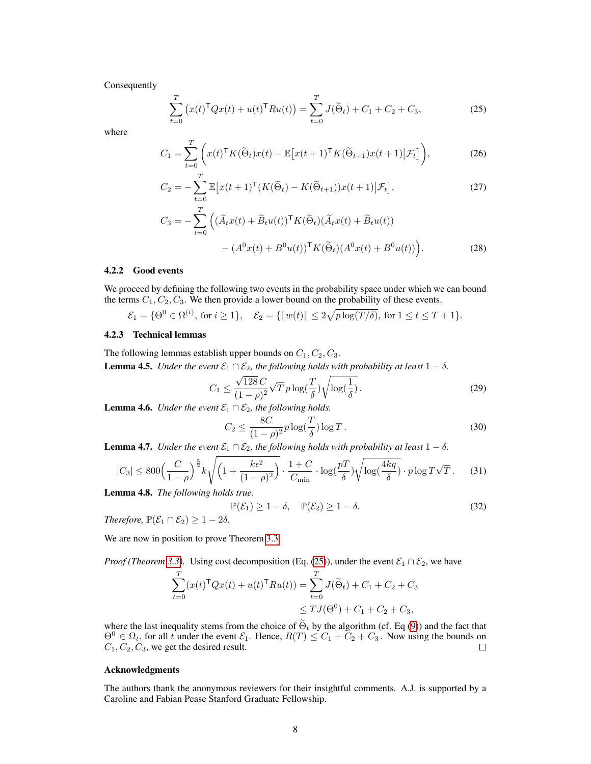Consequently

<span id="page-7-0"></span>
$$
\sum_{t=0}^{T} \left( x(t)^{\mathsf{T}} Q x(t) + u(t)^{\mathsf{T}} R u(t) \right) = \sum_{t=0}^{T} J(\widetilde{\Theta}_t) + C_1 + C_2 + C_3,
$$
\n(25)

where

$$
C_1 = \sum_{t=0}^{T} \left( x(t)^{\mathsf{T}} K(\widetilde{\Theta}_t) x(t) - \mathbb{E} \left[ x(t+1)^{\mathsf{T}} K(\widetilde{\Theta}_{t+1}) x(t+1) \big| \mathcal{F}_t \right] \right),\tag{26}
$$

$$
C_2 = -\sum_{t=0}^{T} \mathbb{E}\big[x(t+1)^{\mathsf{T}}(K(\widetilde{\Theta}_t) - K(\widetilde{\Theta}_{t+1}))x(t+1)\big|\mathcal{F}_t\big],\tag{27}
$$

$$
C_3 = -\sum_{t=0}^{T} \left( (\widetilde{A}_t x(t) + \widetilde{B}_t u(t))^{\mathsf{T}} K(\widetilde{\Theta}_t) (\widetilde{A}_t x(t) + \widetilde{B}_t u(t)) - (A^0 x(t) + B^0 u(t))^{\mathsf{T}} K(\widetilde{\Theta}_t) (A^0 x(t) + B^0 u(t)) \right).
$$
 (28)

### 4.2.2 Good events

We proceed by defining the following two events in the probability space under which we can bound the terms  $C_1, C_2, C_3$ . We then provide a lower bound on the probability of these events.

$$
\mathcal{E}_1 = \{\Theta^0 \in \Omega^{(i)}, \text{ for } i \ge 1\}, \quad \mathcal{E}_2 = \{\|w(t)\| \le 2\sqrt{p\log(T/\delta)}, \text{ for } 1 \le t \le T+1\}.
$$

# 4.2.3 Technical lemmas

The following lemmas establish upper bounds on  $C_1, C_2, C_3$ . **Lemma 4.5.** *Under the event*  $\mathcal{E}_1 \cap \mathcal{E}_2$ *, the following holds with probability at least*  $1 - \delta$ *.* 

$$
C_1 \le \frac{\sqrt{128} C}{(1 - \rho)^2} \sqrt{T} \, p \log(\frac{T}{\delta}) \sqrt{\log(\frac{1}{\delta})} \,. \tag{29}
$$

**Lemma 4.6.** *Under the event*  $\mathcal{E}_1 \cap \mathcal{E}_2$ *, the following holds.* 

$$
C_2 \le \frac{8C}{(1-\rho)^2} p \log(\frac{T}{\delta}) \log T.
$$
 (30)

**Lemma 4.7.** *Under the event*  $\mathcal{E}_1 \cap \mathcal{E}_2$ *, the following holds with probability at least*  $1 - \delta$ *.* 

$$
|C_3| \le 800 \left(\frac{C}{1-\rho}\right)^{\frac{5}{2}} k \sqrt{\left(1 + \frac{k\epsilon^2}{(1-\rho)^2}\right)} \cdot \frac{1+C}{C_{\min}} \cdot \log(\frac{pT}{\delta}) \sqrt{\log(\frac{4kq}{\delta})} \cdot p \log T \sqrt{T} \,. \tag{31}
$$

Lemma 4.8. *The following holds true.*

$$
\mathbb{P}(\mathcal{E}_1) \ge 1 - \delta, \quad \mathbb{P}(\mathcal{E}_2) \ge 1 - \delta.
$$
 (32)

*Therefore,*  $\mathbb{P}(\mathcal{E}_1 \cap \mathcal{E}_2) \geq 1 - 2\delta$ .

We are now in position to prove Theorem [3.3.](#page-4-3)

*Proof (Theorem [3.3\)](#page-4-3).* Using cost decomposition (Eq. [\(25\)](#page-7-0)), under the event  $\mathcal{E}_1 \cap \mathcal{E}_2$ , we have

$$
\sum_{t=0}^{T} (x(t)^{\mathsf{T}} Q x(t) + u(t)^{\mathsf{T}} R u(t)) = \sum_{t=0}^{T} J(\widetilde{\Theta}_t) + C_1 + C_2 + C_3
$$
  

$$
\leq T J(\Theta^0) + C_1 + C_2 + C_3,
$$

where the last inequality stems from the choice of  $\Theta_t$  by the algorithm (cf. Eq [\(9\)](#page-3-0)) and the fact that  $\Theta^0 \in \Omega_t$ , for all t under the event  $\mathcal{E}_1$ . Hence,  $R(T) \leq C_1 + C_2 + C_3$ . Now using the bounds on  $C_1, C_2, C_3$ , we get the desired result.

#### Acknowledgments

The authors thank the anonymous reviewers for their insightful comments. A.J. is supported by a Caroline and Fabian Pease Stanford Graduate Fellowship.